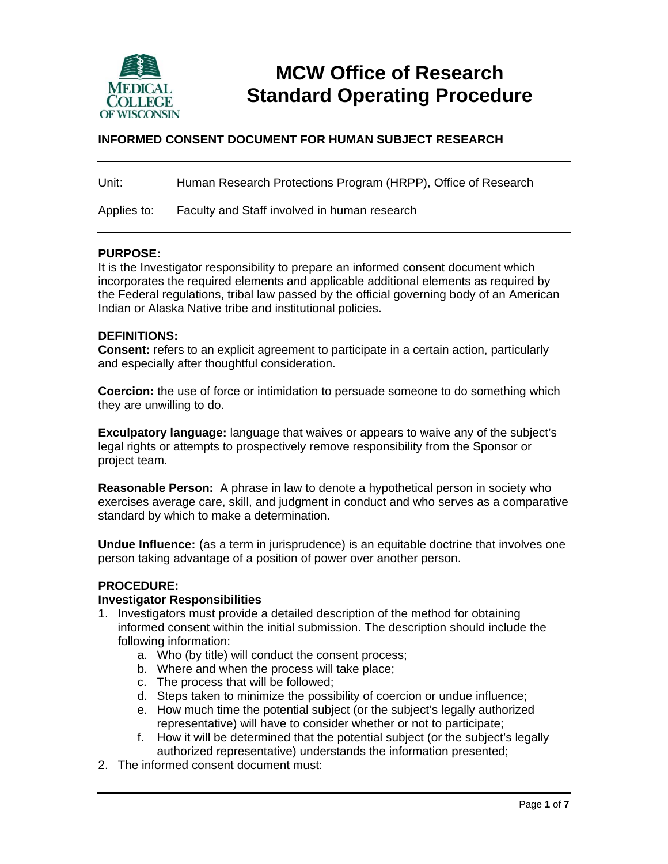

# **MCW Office of Research Standard Operating Procedure**

## **INFORMED CONSENT DOCUMENT FOR HUMAN SUBJECT RESEARCH**

| Unit:       | Human Research Protections Program (HRPP), Office of Research |
|-------------|---------------------------------------------------------------|
| Applies to: | Faculty and Staff involved in human research                  |

#### **PURPOSE:**

It is the Investigator responsibility to prepare an informed consent document which incorporates the required elements and applicable additional elements as required by the Federal regulations, tribal law passed by the official governing body of an American Indian or Alaska Native tribe and institutional policies.

#### **DEFINITIONS:**

**Consent:** refers to an explicit agreement to participate in a certain action, particularly and especially after thoughtful consideration.

**Coercion:** the use of force or intimidation to persuade someone to do something which they are unwilling to do.

**Exculpatory language:** language that waives or appears to waive any of the subject's legal rights or attempts to prospectively remove responsibility from the Sponsor or project team.

**Reasonable Person:** A phrase in law to denote a hypothetical person in society who exercises average care, skill, and judgment in conduct and who serves as a comparative standard by which to make a determination.

**Undue Influence:** (as a term in jurisprudence) is an equitable doctrine that involves one person taking advantage of a position of power over another person.

#### **PROCEDURE:**

#### **Investigator Responsibilities**

- 1. Investigators must provide a detailed description of the method for obtaining informed consent within the initial submission. The description should include the following information:
	- a. Who (by title) will conduct the consent process;
	- b. Where and when the process will take place;
	- c. The process that will be followed;
	- d. Steps taken to minimize the possibility of coercion or undue influence;
	- e. How much time the potential subject (or the subject's legally authorized representative) will have to consider whether or not to participate;
	- f. How it will be determined that the potential subject (or the subject's legally authorized representative) understands the information presented;
- 2. The informed consent document must: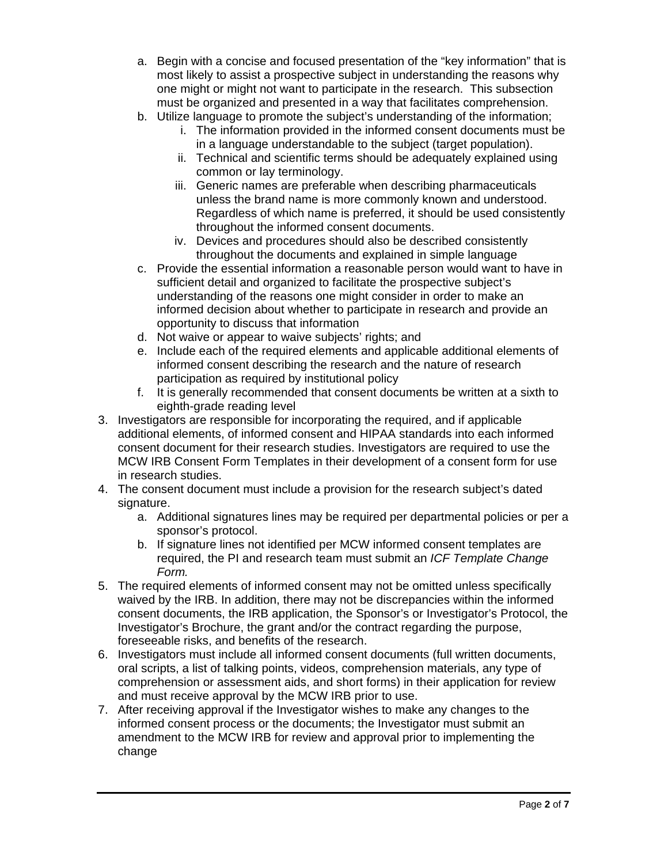- a. Begin with a concise and focused presentation of the "key information" that is most likely to assist a prospective subject in understanding the reasons why one might or might not want to participate in the research. This subsection must be organized and presented in a way that facilitates comprehension.
- b. Utilize language to promote the subject's understanding of the information;
	- i. The information provided in the informed consent documents must be in a language understandable to the subject (target population).
	- ii. Technical and scientific terms should be adequately explained using common or lay terminology.
	- iii. Generic names are preferable when describing pharmaceuticals unless the brand name is more commonly known and understood. Regardless of which name is preferred, it should be used consistently throughout the informed consent documents.
	- iv. Devices and procedures should also be described consistently throughout the documents and explained in simple language
- c. Provide the essential information a reasonable person would want to have in sufficient detail and organized to facilitate the prospective subject's understanding of the reasons one might consider in order to make an informed decision about whether to participate in research and provide an opportunity to discuss that information
- d. Not waive or appear to waive subjects' rights; and
- e. Include each of the required elements and applicable additional elements of informed consent describing the research and the nature of research participation as required by institutional policy
- f. It is generally recommended that consent documents be written at a sixth to eighth-grade reading level
- 3. Investigators are responsible for incorporating the required, and if applicable additional elements, of informed consent and HIPAA standards into each informed consent document for their research studies. Investigators are required to use the MCW IRB Consent Form Templates in their development of a consent form for use in research studies.
- 4. The consent document must include a provision for the research subject's dated signature.
	- a. Additional signatures lines may be required per departmental policies or per a sponsor's protocol.
	- b. If signature lines not identified per MCW informed consent templates are required, the PI and research team must submit an *ICF Template Change Form.*
- 5. The required elements of informed consent may not be omitted unless specifically waived by the IRB. In addition, there may not be discrepancies within the informed consent documents, the IRB application, the Sponsor's or Investigator's Protocol, the Investigator's Brochure, the grant and/or the contract regarding the purpose, foreseeable risks, and benefits of the research.
- 6. Investigators must include all informed consent documents (full written documents, oral scripts, a list of talking points, videos, comprehension materials, any type of comprehension or assessment aids, and short forms) in their application for review and must receive approval by the MCW IRB prior to use.
- 7. After receiving approval if the Investigator wishes to make any changes to the informed consent process or the documents; the Investigator must submit an amendment to the MCW IRB for review and approval prior to implementing the change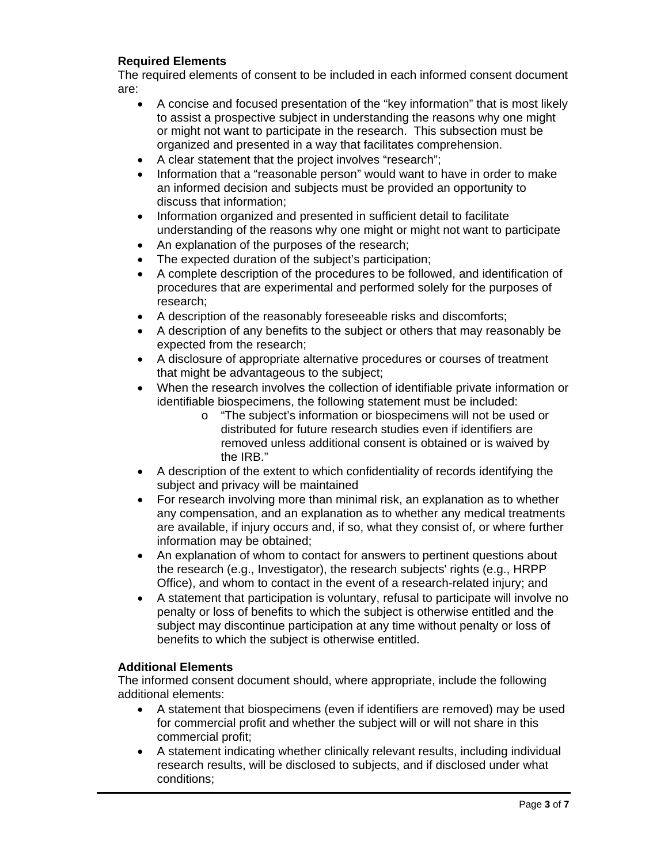## **Required Elements**

The required elements of consent to be included in each informed consent document are:

- A concise and focused presentation of the "key information" that is most likely to assist a prospective subject in understanding the reasons why one might or might not want to participate in the research. This subsection must be organized and presented in a way that facilitates comprehension.
- A clear statement that the project involves "research";
- Information that a "reasonable person" would want to have in order to make an informed decision and subjects must be provided an opportunity to discuss that information;
- Information organized and presented in sufficient detail to facilitate understanding of the reasons why one might or might not want to participate
- An explanation of the purposes of the research;
- The expected duration of the subject's participation;
- A complete description of the procedures to be followed, and identification of procedures that are experimental and performed solely for the purposes of research;
- A description of the reasonably foreseeable risks and discomforts;
- A description of any benefits to the subject or others that may reasonably be expected from the research;
- A disclosure of appropriate alternative procedures or courses of treatment that might be advantageous to the subject;
- When the research involves the collection of identifiable private information or identifiable biospecimens, the following statement must be included:
	- o "The subject's information or biospecimens will not be used or distributed for future research studies even if identifiers are removed unless additional consent is obtained or is waived by the IRB."
- A description of the extent to which confidentiality of records identifying the subject and privacy will be maintained
- For research involving more than minimal risk, an explanation as to whether any compensation, and an explanation as to whether any medical treatments are available, if injury occurs and, if so, what they consist of, or where further information may be obtained;
- An explanation of whom to contact for answers to pertinent questions about the research (e.g., Investigator), the research subjects' rights (e.g., HRPP Office), and whom to contact in the event of a research-related injury; and
- A statement that participation is voluntary, refusal to participate will involve no penalty or loss of benefits to which the subject is otherwise entitled and the subject may discontinue participation at any time without penalty or loss of benefits to which the subject is otherwise entitled.

#### **Additional Elements**

The informed consent document should, where appropriate, include the following additional elements:

- A statement that biospecimens (even if identifiers are removed) may be used for commercial profit and whether the subject will or will not share in this commercial profit;
- A statement indicating whether clinically relevant results, including individual research results, will be disclosed to subjects, and if disclosed under what conditions;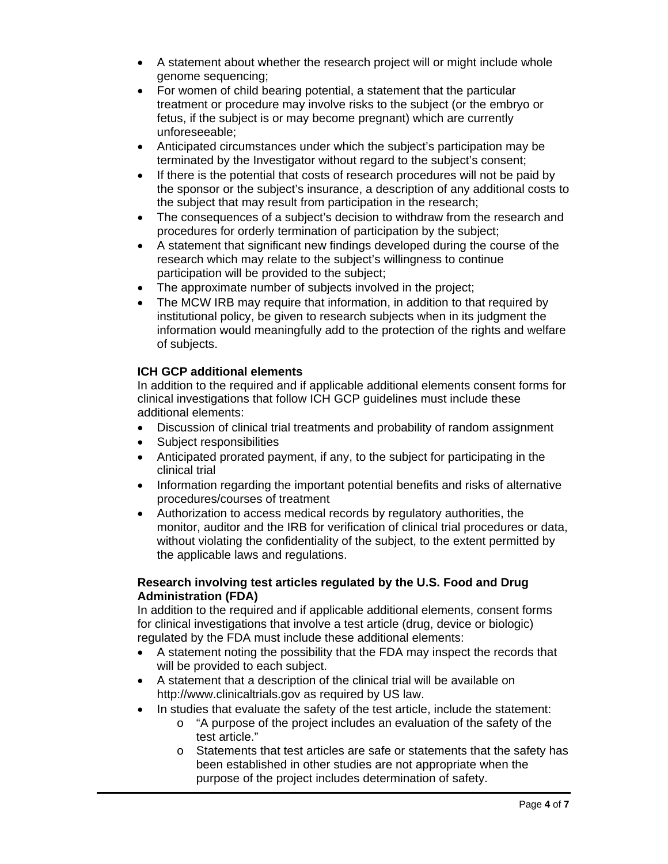- A statement about whether the research project will or might include whole genome sequencing;
- For women of child bearing potential, a statement that the particular treatment or procedure may involve risks to the subject (or the embryo or fetus, if the subject is or may become pregnant) which are currently unforeseeable;
- Anticipated circumstances under which the subject's participation may be terminated by the Investigator without regard to the subject's consent;
- If there is the potential that costs of research procedures will not be paid by the sponsor or the subject's insurance, a description of any additional costs to the subject that may result from participation in the research;
- The consequences of a subject's decision to withdraw from the research and procedures for orderly termination of participation by the subject;
- A statement that significant new findings developed during the course of the research which may relate to the subject's willingness to continue participation will be provided to the subject;
- The approximate number of subjects involved in the project;
- The MCW IRB may require that information, in addition to that required by institutional policy, be given to research subjects when in its judgment the information would meaningfully add to the protection of the rights and welfare of subjects.

## **ICH GCP additional elements**

In addition to the required and if applicable additional elements consent forms for clinical investigations that follow ICH GCP guidelines must include these additional elements:

- Discussion of clinical trial treatments and probability of random assignment
- Subject responsibilities
- Anticipated prorated payment, if any, to the subject for participating in the clinical trial
- Information regarding the important potential benefits and risks of alternative procedures/courses of treatment
- Authorization to access medical records by regulatory authorities, the monitor, auditor and the IRB for verification of clinical trial procedures or data, without violating the confidentiality of the subject, to the extent permitted by the applicable laws and regulations.

## **Research involving test articles regulated by the U.S. Food and Drug Administration (FDA)**

In addition to the required and if applicable additional elements, consent forms for clinical investigations that involve a test article (drug, device or biologic) regulated by the FDA must include these additional elements:

- A statement noting the possibility that the FDA may inspect the records that will be provided to each subject.
- A statement that a description of the clinical trial will be available on http://www.clinicaltrials.gov as required by US law.
- In studies that evaluate the safety of the test article, include the statement:
	- o "A purpose of the project includes an evaluation of the safety of the test article."
	- o Statements that test articles are safe or statements that the safety has been established in other studies are not appropriate when the purpose of the project includes determination of safety.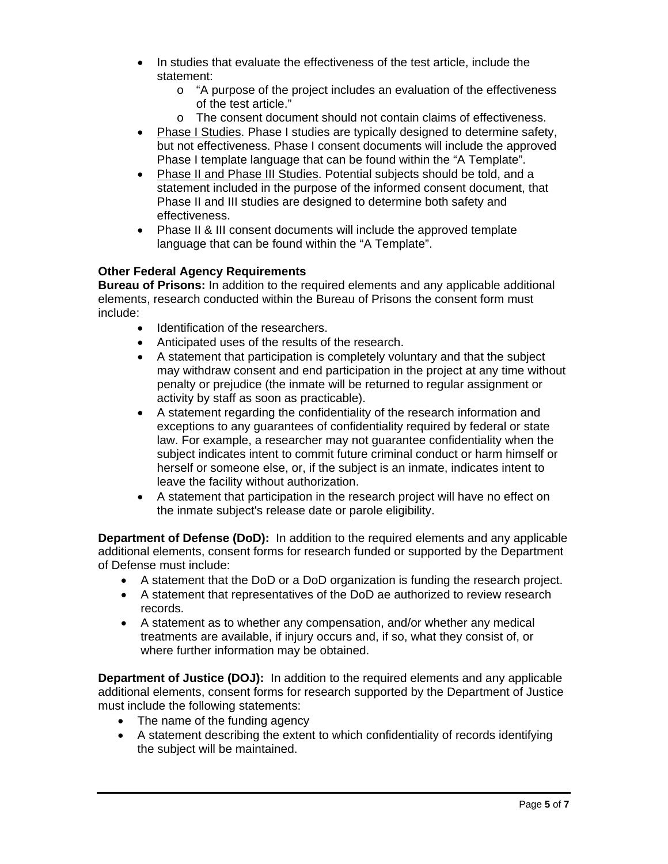- In studies that evaluate the effectiveness of the test article, include the statement:
	- o "A purpose of the project includes an evaluation of the effectiveness of the test article."
	- o The consent document should not contain claims of effectiveness.
- Phase I Studies. Phase I studies are typically designed to determine safety, but not effectiveness. Phase I consent documents will include the approved Phase I template language that can be found within the "A Template".
- Phase II and Phase III Studies. Potential subjects should be told, and a statement included in the purpose of the informed consent document, that Phase II and III studies are designed to determine both safety and effectiveness.
- Phase II & III consent documents will include the approved template language that can be found within the "A Template".

## **Other Federal Agency Requirements**

**Bureau of Prisons:** In addition to the required elements and any applicable additional elements, research conducted within the Bureau of Prisons the consent form must include:

- Identification of the researchers.
- Anticipated uses of the results of the research.
- A statement that participation is completely voluntary and that the subject may withdraw consent and end participation in the project at any time without penalty or prejudice (the inmate will be returned to regular assignment or activity by staff as soon as practicable).
- A statement regarding the confidentiality of the research information and exceptions to any guarantees of confidentiality required by federal or state law. For example, a researcher may not guarantee confidentiality when the subject indicates intent to commit future criminal conduct or harm himself or herself or someone else, or, if the subject is an inmate, indicates intent to leave the facility without authorization.
- A statement that participation in the research project will have no effect on the inmate subject's release date or parole eligibility.

**Department of Defense (DoD):** In addition to the required elements and any applicable additional elements, consent forms for research funded or supported by the Department of Defense must include:

- A statement that the DoD or a DoD organization is funding the research project.
- A statement that representatives of the DoD ae authorized to review research records.
- A statement as to whether any compensation, and/or whether any medical treatments are available, if injury occurs and, if so, what they consist of, or where further information may be obtained.

**Department of Justice (DOJ):** In addition to the required elements and any applicable additional elements, consent forms for research supported by the Department of Justice must include the following statements:

- The name of the funding agency
- A statement describing the extent to which confidentiality of records identifying the subject will be maintained.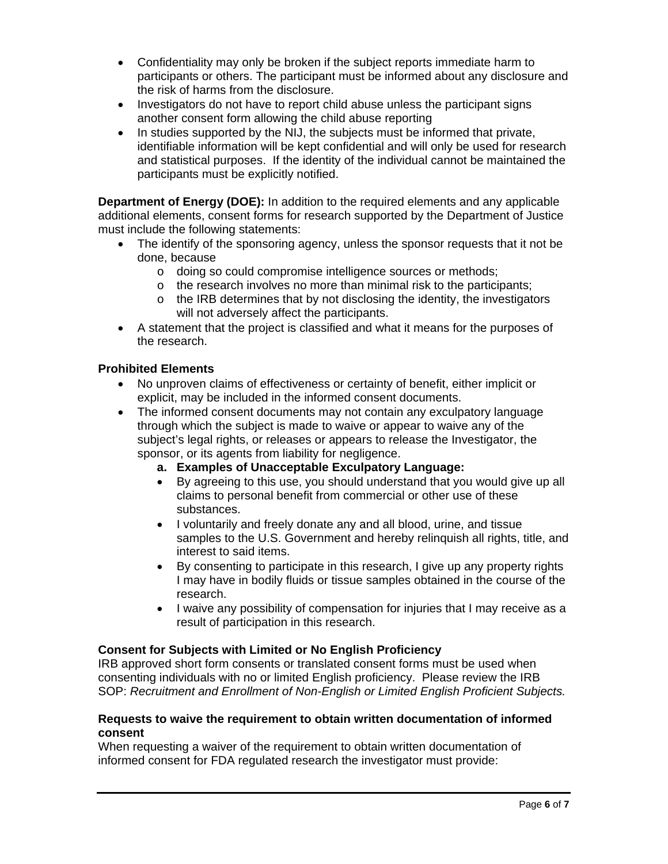- Confidentiality may only be broken if the subject reports immediate harm to participants or others. The participant must be informed about any disclosure and the risk of harms from the disclosure.
- Investigators do not have to report child abuse unless the participant signs another consent form allowing the child abuse reporting
- In studies supported by the NIJ, the subjects must be informed that private, identifiable information will be kept confidential and will only be used for research and statistical purposes. If the identity of the individual cannot be maintained the participants must be explicitly notified.

**Department of Energy (DOE):** In addition to the required elements and any applicable additional elements, consent forms for research supported by the Department of Justice must include the following statements:

- The identify of the sponsoring agency, unless the sponsor requests that it not be done, because
	- o doing so could compromise intelligence sources or methods;
	- o the research involves no more than minimal risk to the participants;
	- o the IRB determines that by not disclosing the identity, the investigators will not adversely affect the participants.
- A statement that the project is classified and what it means for the purposes of the research.

## **Prohibited Elements**

- No unproven claims of effectiveness or certainty of benefit, either implicit or explicit, may be included in the informed consent documents.
- The informed consent documents may not contain any exculpatory language through which the subject is made to waive or appear to waive any of the subject's legal rights, or releases or appears to release the Investigator, the sponsor, or its agents from liability for negligence.
	- **a. Examples of Unacceptable Exculpatory Language:**
	- By agreeing to this use, you should understand that you would give up all claims to personal benefit from commercial or other use of these substances.
	- I voluntarily and freely donate any and all blood, urine, and tissue samples to the U.S. Government and hereby relinquish all rights, title, and interest to said items.
	- By consenting to participate in this research, I give up any property rights I may have in bodily fluids or tissue samples obtained in the course of the research.
	- I waive any possibility of compensation for injuries that I may receive as a result of participation in this research.

#### **Consent for Subjects with Limited or No English Proficiency**

IRB approved short form consents or translated consent forms must be used when consenting individuals with no or limited English proficiency. Please review the IRB SOP: *Recruitment and Enrollment of Non-English or Limited English Proficient Subjects.*

#### **Requests to waive the requirement to obtain written documentation of informed consent**

When requesting a waiver of the requirement to obtain written documentation of informed consent for FDA regulated research the investigator must provide: